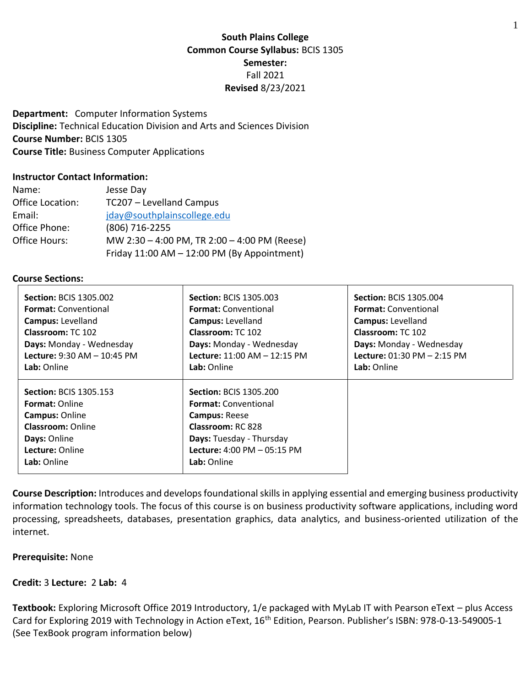# **South Plains College Common Course Syllabus:** BCIS 1305 **Semester:** Fall 2021 **Revised** 8/23/2021

**Department:** Computer Information Systems **Discipline:** Technical Education Division and Arts and Sciences Division **Course Number:** BCIS 1305 **Course Title:** Business Computer Applications

#### **Instructor Contact Information:**

| Name:            | Jesse Day                                    |
|------------------|----------------------------------------------|
| Office Location: | TC207 - Levelland Campus                     |
| Email:           | jday@southplainscollege.edu                  |
| Office Phone:    | (806) 716-2255                               |
| Office Hours:    | MW 2:30 - 4:00 PM, TR 2:00 - 4:00 PM (Reese) |
|                  | Friday 11:00 AM - 12:00 PM (By Appointment)  |

#### **Course Sections:**

| <b>Section: BCIS 1305.002</b>                                                                                                                                 | <b>Section: BCIS 1305.003</b>                                                                                                                                                                                  | <b>Section: BCIS 1305.004</b>      |
|---------------------------------------------------------------------------------------------------------------------------------------------------------------|----------------------------------------------------------------------------------------------------------------------------------------------------------------------------------------------------------------|------------------------------------|
| <b>Format:</b> Conventional                                                                                                                                   | <b>Format:</b> Conventional                                                                                                                                                                                    | <b>Format:</b> Conventional        |
| <b>Campus: Levelland</b>                                                                                                                                      | <b>Campus: Levelland</b>                                                                                                                                                                                       | <b>Campus: Levelland</b>           |
| Classroom: TC 102                                                                                                                                             | Classroom: TC 102                                                                                                                                                                                              | Classroom: TC 102                  |
| Days: Monday - Wednesday                                                                                                                                      | Days: Monday - Wednesday                                                                                                                                                                                       | Days: Monday - Wednesday           |
| <b>Lecture: 9:30 AM - 10:45 PM</b>                                                                                                                            | Lecture: 11:00 AM - 12:15 PM                                                                                                                                                                                   | <b>Lecture: 01:30 PM - 2:15 PM</b> |
| Lab: Online                                                                                                                                                   | Lab: Online                                                                                                                                                                                                    | Lab: Online                        |
| <b>Section: BCIS 1305.153</b><br><b>Format: Online</b><br><b>Campus: Online</b><br><b>Classroom: Online</b><br>Days: Online<br>Lecture: Online<br>Lab: Online | <b>Section: BCIS 1305.200</b><br><b>Format:</b> Conventional<br><b>Campus: Reese</b><br><b>Classroom: RC 828</b><br>Days: Tuesday - Thursday<br><b>Lecture: 4:00 PM <math>-</math> 05:15 PM</b><br>Lab: Online |                                    |

**Course Description:** Introduces and develops foundational skills in applying essential and emerging business productivity information technology tools. The focus of this course is on business productivity software applications, including word processing, spreadsheets, databases, presentation graphics, data analytics, and business-oriented utilization of the internet.

#### **Prerequisite:** None

### **Credit:** 3 **Lecture:** 2 **Lab:** 4

**Textbook:** Exploring Microsoft Office 2019 Introductory, 1/e packaged with MyLab IT with Pearson eText – plus Access Card for Exploring 2019 with Technology in Action eText, 16<sup>th</sup> Edition, Pearson. Publisher's ISBN: 978-0-13-549005-1 (See TexBook program information below)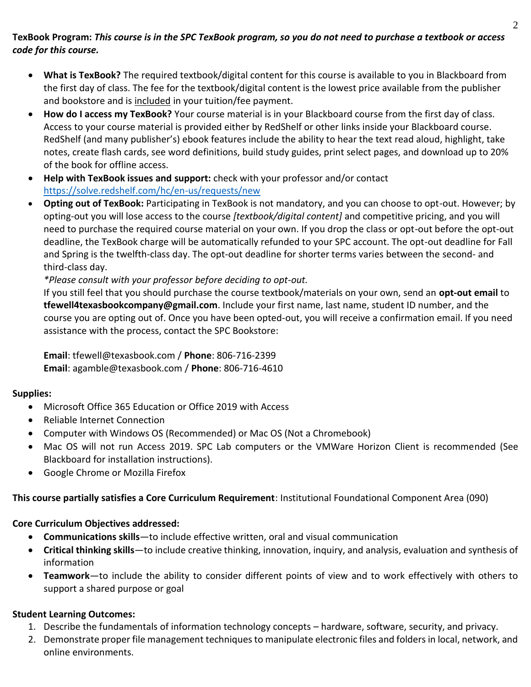# **TexBook Program:** *This course is in the SPC TexBook program, so you do not need to purchase a textbook or access code for this course.*

- **What is TexBook?** The required textbook/digital content for this course is available to you in Blackboard from the first day of class. The fee for the textbook/digital content is the lowest price available from the publisher and bookstore and is included in your tuition/fee payment.
- **How do I access my TexBook?** Your course material is in your Blackboard course from the first day of class. Access to your course material is provided either by RedShelf or other links inside your Blackboard course. RedShelf (and many publisher's) ebook features include the ability to hear the text read aloud, highlight, take notes, create flash cards, see word definitions, build study guides, print select pages, and download up to 20% of the book for offline access.
- **Help with TexBook issues and support:** check with your professor and/or contact <https://solve.redshelf.com/hc/en-us/requests/new>
- **Opting out of TexBook:** Participating in TexBook is not mandatory, and you can choose to opt-out. However; by opting-out you will lose access to the course *[textbook/digital content]* and competitive pricing, and you will need to purchase the required course material on your own. If you drop the class or opt-out before the opt-out deadline, the TexBook charge will be automatically refunded to your SPC account. The opt-out deadline for Fall and Spring is the twelfth-class day. The opt-out deadline for shorter terms varies between the second- and third-class day.

*\*Please consult with your professor before deciding to opt-out.*

If you still feel that you should purchase the course textbook/materials on your own, send an **opt-out email** to **tfewell4texasbookcompany@gmail.com**. Include your first name, last name, student ID number, and the course you are opting out of. Once you have been opted-out, you will receive a confirmation email. If you need assistance with the process, contact the SPC Bookstore:

**Email**: tfewell@texasbook.com / **Phone**: 806-716-2399 **Email**: agamble@texasbook.com / **Phone**: 806-716-4610

## **Supplies:**

- Microsoft Office 365 Education or Office 2019 with Access
- Reliable Internet Connection
- Computer with Windows OS (Recommended) or Mac OS (Not a Chromebook)
- Mac OS will not run Access 2019. SPC Lab computers or the VMWare Horizon Client is recommended (See Blackboard for installation instructions).
- Google Chrome or Mozilla Firefox

**This course partially satisfies a Core Curriculum Requirement**: Institutional Foundational Component Area (090)

## **Core Curriculum Objectives addressed:**

- **Communications skills**—to include effective written, oral and visual communication
- **Critical thinking skills**—to include creative thinking, innovation, inquiry, and analysis, evaluation and synthesis of information
- **Teamwork**—to include the ability to consider different points of view and to work effectively with others to support a shared purpose or goal

# **Student Learning Outcomes:**

- 1. Describe the fundamentals of information technology concepts hardware, software, security, and privacy.
- 2. Demonstrate proper file management techniques to manipulate electronic files and folders in local, network, and online environments.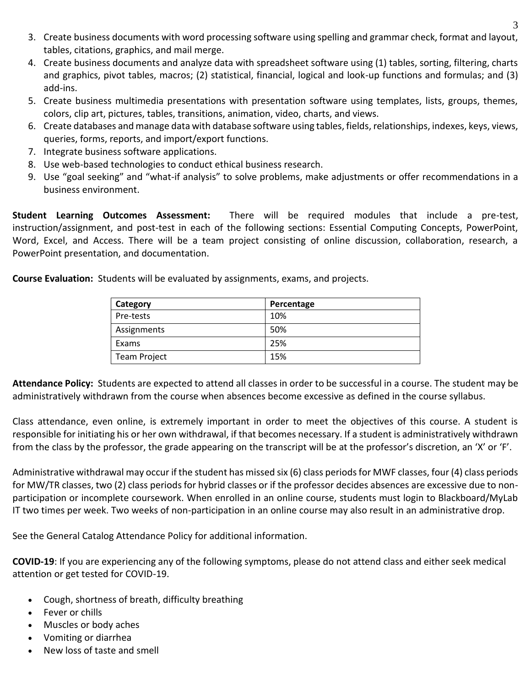- 3. Create business documents with word processing software using spelling and grammar check, format and layout, tables, citations, graphics, and mail merge.
- 4. Create business documents and analyze data with spreadsheet software using (1) tables, sorting, filtering, charts and graphics, pivot tables, macros; (2) statistical, financial, logical and look-up functions and formulas; and (3) add-ins.
- 5. Create business multimedia presentations with presentation software using templates, lists, groups, themes, colors, clip art, pictures, tables, transitions, animation, video, charts, and views.
- 6. Create databases and manage data with database software using tables, fields, relationships, indexes, keys, views, queries, forms, reports, and import/export functions.
- 7. Integrate business software applications.
- 8. Use web-based technologies to conduct ethical business research.
- 9. Use "goal seeking" and "what-if analysis" to solve problems, make adjustments or offer recommendations in a business environment.

**Student Learning Outcomes Assessment:** There will be required modules that include a pre-test, instruction/assignment, and post-test in each of the following sections: Essential Computing Concepts, PowerPoint, Word, Excel, and Access. There will be a team project consisting of online discussion, collaboration, research, a PowerPoint presentation, and documentation.

**Course Evaluation:** Students will be evaluated by assignments, exams, and projects.

| Category     | Percentage |
|--------------|------------|
| Pre-tests    | 10%        |
| Assignments  | 50%        |
| Exams        | 25%        |
| Team Project | 15%        |

**Attendance Policy:** Students are expected to attend all classes in order to be successful in a course. The student may be administratively withdrawn from the course when absences become excessive as defined in the course syllabus.

Class attendance, even online, is extremely important in order to meet the objectives of this course. A student is responsible for initiating his or her own withdrawal, if that becomes necessary. If a student is administratively withdrawn from the class by the professor, the grade appearing on the transcript will be at the professor's discretion, an 'X' or 'F'.

Administrative withdrawal may occur if the student has missed six (6) class periods for MWF classes, four (4) class periods for MW/TR classes, two (2) class periods for hybrid classes or if the professor decides absences are excessive due to nonparticipation or incomplete coursework. When enrolled in an online course, students must login to Blackboard/MyLab IT two times per week. Two weeks of non-participation in an online course may also result in an administrative drop.

See the General Catalog Attendance Policy for additional information.

**COVID-19**: If you are experiencing any of the following symptoms, please do not attend class and either seek medical attention or get tested for COVID-19.

- Cough, shortness of breath, difficulty breathing
- Fever or chills
- Muscles or body aches
- Vomiting or diarrhea
- New loss of taste and smell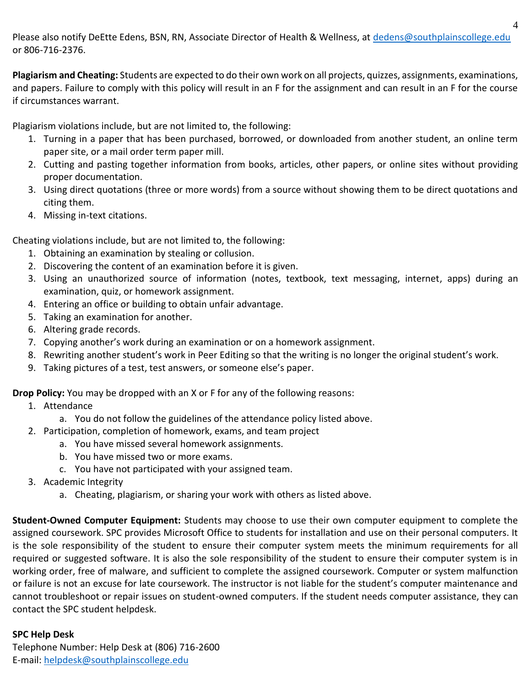Please also notify DeEtte Edens, BSN, RN, Associate Director of Health & Wellness, at [dedens@southplainscollege.edu](mailto:dedens@southplainscollege.edu) or 806-716-2376.

**Plagiarism and Cheating:** Students are expected to do their own work on all projects, quizzes, assignments, examinations, and papers. Failure to comply with this policy will result in an F for the assignment and can result in an F for the course if circumstances warrant.

Plagiarism violations include, but are not limited to, the following:

- 1. Turning in a paper that has been purchased, borrowed, or downloaded from another student, an online term paper site, or a mail order term paper mill.
- 2. Cutting and pasting together information from books, articles, other papers, or online sites without providing proper documentation.
- 3. Using direct quotations (three or more words) from a source without showing them to be direct quotations and citing them.
- 4. Missing in-text citations.

Cheating violations include, but are not limited to, the following:

- 1. Obtaining an examination by stealing or collusion.
- 2. Discovering the content of an examination before it is given.
- 3. Using an unauthorized source of information (notes, textbook, text messaging, internet, apps) during an examination, quiz, or homework assignment.
- 4. Entering an office or building to obtain unfair advantage.
- 5. Taking an examination for another.
- 6. Altering grade records.
- 7. Copying another's work during an examination or on a homework assignment.
- 8. Rewriting another student's work in Peer Editing so that the writing is no longer the original student's work.
- 9. Taking pictures of a test, test answers, or someone else's paper.

**Drop Policy:** You may be dropped with an X or F for any of the following reasons:

- 1. Attendance
	- a. You do not follow the guidelines of the attendance policy listed above.
- 2. Participation, completion of homework, exams, and team project
	- a. You have missed several homework assignments.
	- b. You have missed two or more exams.
	- c. You have not participated with your assigned team.
- 3. Academic Integrity
	- a. Cheating, plagiarism, or sharing your work with others as listed above.

**Student-Owned Computer Equipment:** Students may choose to use their own computer equipment to complete the assigned coursework. SPC provides Microsoft Office to students for installation and use on their personal computers. It is the sole responsibility of the student to ensure their computer system meets the minimum requirements for all required or suggested software. It is also the sole responsibility of the student to ensure their computer system is in working order, free of malware, and sufficient to complete the assigned coursework. Computer or system malfunction or failure is not an excuse for late coursework. The instructor is not liable for the student's computer maintenance and cannot troubleshoot or repair issues on student-owned computers. If the student needs computer assistance, they can contact the SPC student helpdesk.

## **SPC Help Desk**

Telephone Number: Help Desk at (806) 716-2600 E-mail[: helpdesk@southplainscollege.edu](mailto:helpdesk@southplainscollege.edu)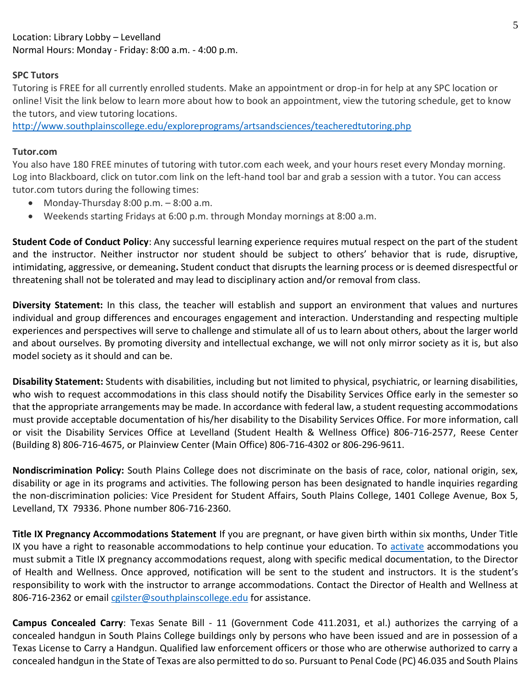## **SPC Tutors**

Tutoring is FREE for all currently enrolled students. Make an appointment or drop-in for help at any SPC location or online! Visit the link below to learn more about how to book an appointment, view the tutoring schedule, get to know the tutors, and view tutoring locations.

<http://www.southplainscollege.edu/exploreprograms/artsandsciences/teacheredtutoring.php>

## **Tutor.com**

You also have 180 FREE minutes of tutoring with tutor.com each week, and your hours reset every Monday morning. Log into Blackboard, click on tutor.com link on the left-hand tool bar and grab a session with a tutor. You can access tutor.com tutors during the following times:

- Monday-Thursday  $8:00$  p.m.  $-8:00$  a.m.
- Weekends starting Fridays at 6:00 p.m. through Monday mornings at 8:00 a.m.

**Student Code of Conduct Policy**: Any successful learning experience requires mutual respect on the part of the student and the instructor. Neither instructor nor student should be subject to others' behavior that is rude, disruptive, intimidating, aggressive, or demeaning**.** Student conduct that disrupts the learning process or is deemed disrespectful or threatening shall not be tolerated and may lead to disciplinary action and/or removal from class.

**Diversity Statement:** In this class, the teacher will establish and support an environment that values and nurtures individual and group differences and encourages engagement and interaction. Understanding and respecting multiple experiences and perspectives will serve to challenge and stimulate all of us to learn about others, about the larger world and about ourselves. By promoting diversity and intellectual exchange, we will not only mirror society as it is, but also model society as it should and can be.

**Disability Statement:** Students with disabilities, including but not limited to physical, psychiatric, or learning disabilities, who wish to request accommodations in this class should notify the Disability Services Office early in the semester so that the appropriate arrangements may be made. In accordance with federal law, a student requesting accommodations must provide acceptable documentation of his/her disability to the Disability Services Office. For more information, call or visit the Disability Services Office at Levelland (Student Health & Wellness Office) 806-716-2577, Reese Center (Building 8) 806-716-4675, or Plainview Center (Main Office) 806-716-4302 or 806-296-9611.

**Nondiscrimination Policy:** South Plains College does not discriminate on the basis of race, color, national origin, sex, disability or age in its programs and activities. The following person has been designated to handle inquiries regarding the non-discrimination policies: Vice President for Student Affairs, South Plains College, 1401 College Avenue, Box 5, Levelland, TX 79336. Phone number 806-716-2360.

**Title IX Pregnancy Accommodations Statement** If you are pregnant, or have given birth within six months, Under Title IX you have a right to reasonable accommodations to help continue your education. To [activate](http://www.southplainscollege.edu/employees/manualshandbooks/facultyhandbook/sec4.php) accommodations you must submit a Title IX pregnancy accommodations request, along with specific medical documentation, to the Director of Health and Wellness. Once approved, notification will be sent to the student and instructors. It is the student's responsibility to work with the instructor to arrange accommodations. Contact the Director of Health and Wellness at 806-716-2362 or email [cgilster@southplainscollege.edu](mailto:cgilster@southplainscollege.edu) for assistance.

**Campus Concealed Carry**: Texas Senate Bill - 11 (Government Code 411.2031, et al.) authorizes the carrying of a concealed handgun in South Plains College buildings only by persons who have been issued and are in possession of a Texas License to Carry a Handgun. Qualified law enforcement officers or those who are otherwise authorized to carry a concealed handgun in the State of Texas are also permitted to do so. Pursuant to Penal Code (PC) 46.035 and South Plains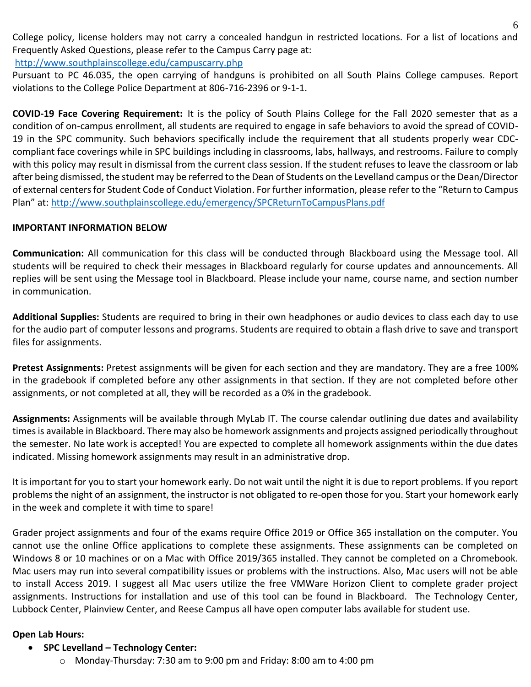College policy, license holders may not carry a concealed handgun in restricted locations. For a list of locations and Frequently Asked Questions, please refer to the Campus Carry page at: <http://www.southplainscollege.edu/campuscarry.php>

Pursuant to PC 46.035, the open carrying of handguns is prohibited on all South Plains College campuses. Report violations to the College Police Department at 806-716-2396 or 9-1-1.

**COVID-19 Face Covering Requirement:** It is the policy of South Plains College for the Fall 2020 semester that as a condition of on-campus enrollment, all students are required to engage in safe behaviors to avoid the spread of COVID-19 in the SPC community. Such behaviors specifically include the requirement that all students properly wear CDCcompliant face coverings while in SPC buildings including in classrooms, labs, hallways, and restrooms. Failure to comply with this policy may result in dismissal from the current class session. If the student refuses to leave the classroom or lab after being dismissed, the student may be referred to the Dean of Students on the Levelland campus or the Dean/Director of external centers for Student Code of Conduct Violation. For further information, please refer to the "Return to Campus Plan" at: <http://www.southplainscollege.edu/emergency/SPCReturnToCampusPlans.pdf>

## **IMPORTANT INFORMATION BELOW**

**Communication:** All communication for this class will be conducted through Blackboard using the Message tool. All students will be required to check their messages in Blackboard regularly for course updates and announcements. All replies will be sent using the Message tool in Blackboard. Please include your name, course name, and section number in communication.

**Additional Supplies:** Students are required to bring in their own headphones or audio devices to class each day to use for the audio part of computer lessons and programs. Students are required to obtain a flash drive to save and transport files for assignments.

**Pretest Assignments:** Pretest assignments will be given for each section and they are mandatory. They are a free 100% in the gradebook if completed before any other assignments in that section. If they are not completed before other assignments, or not completed at all, they will be recorded as a 0% in the gradebook.

**Assignments:** Assignments will be available through MyLab IT. The course calendar outlining due dates and availability times is available in Blackboard. There may also be homework assignments and projects assigned periodically throughout the semester. No late work is accepted! You are expected to complete all homework assignments within the due dates indicated. Missing homework assignments may result in an administrative drop.

It is important for you to start your homework early. Do not wait until the night it is due to report problems. If you report problems the night of an assignment, the instructor is not obligated to re-open those for you. Start your homework early in the week and complete it with time to spare!

Grader project assignments and four of the exams require Office 2019 or Office 365 installation on the computer. You cannot use the online Office applications to complete these assignments. These assignments can be completed on Windows 8 or 10 machines or on a Mac with Office 2019/365 installed. They cannot be completed on a Chromebook. Mac users may run into several compatibility issues or problems with the instructions. Also, Mac users will not be able to install Access 2019. I suggest all Mac users utilize the free VMWare Horizon Client to complete grader project assignments. Instructions for installation and use of this tool can be found in Blackboard. The Technology Center, Lubbock Center, Plainview Center, and Reese Campus all have open computer labs available for student use.

## **Open Lab Hours:**

## • **SPC Levelland – Technology Center:**

o Monday-Thursday: 7:30 am to 9:00 pm and Friday: 8:00 am to 4:00 pm